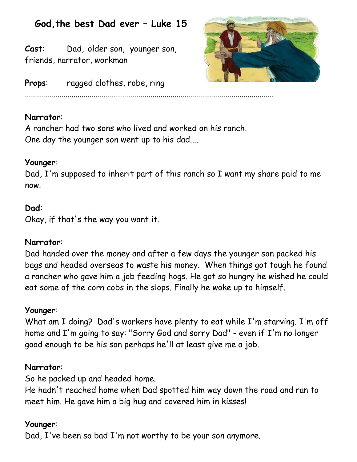# **God,the best Dad ever – Luke 15**

**Cast**: Dad, older son, younger son, friends, narrator, workman



**Props:** ragged clothes, robe, ring

## **Narrator**:

A rancher had two sons who lived and worked on his ranch. One day the younger son went up to his dad....

...........................................................................................................................

## **Younger**:

Dad, I'm supposed to inherit part of this ranch so I want my share paid to me now.

# **Dad**:

Okay, if that's the way you want it.

## **Narrator**:

Dad handed over the money and after a few days the younger son packed his bags and headed overseas to waste his money. When things got tough he found a rancher who gave him a job feeding hogs. He got so hungry he wished he could eat some of the corn cobs in the slops. Finally he woke up to himself.

## **Younger**:

What am I doing? Dad's workers have plenty to eat while I'm starving. I'm off home and I'm going to say: "Sorry God and sorry Dad" - even if I'm no longer good enough to be his son perhaps he'll at least give me a job.

## **Narrator**:

So he packed up and headed home.

He hadn't reached home when Dad spotted him way down the road and ran to meet him. He gave him a big hug and covered him in kisses!

# **Younger**:

Dad, I've been so bad I'm not worthy to be your son anymore.